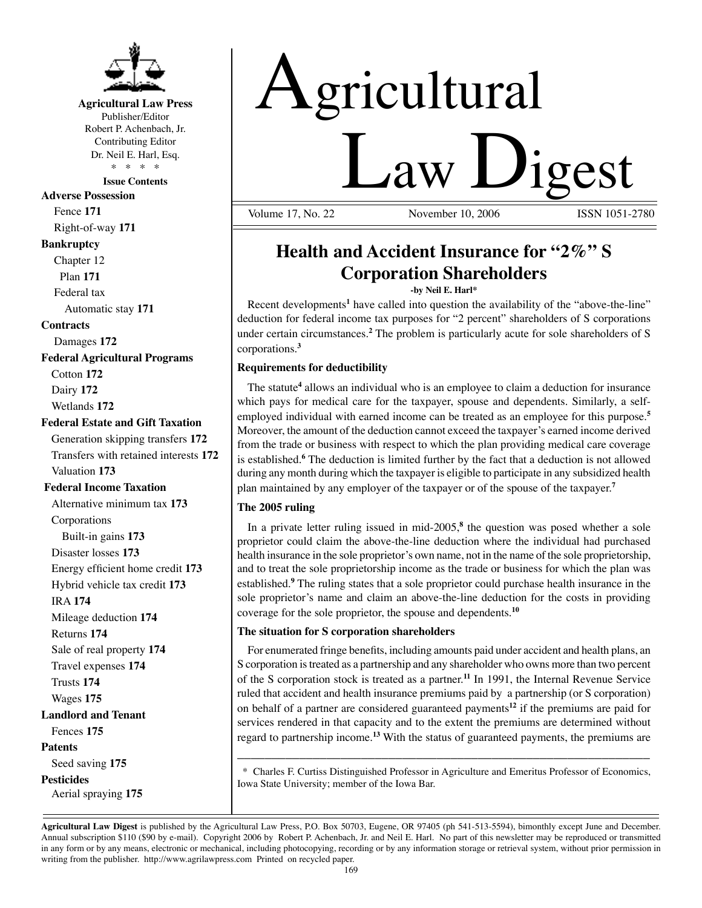

#### **Agricultural Law Press** Publisher/Editor

Robert P. Achenbach, Jr. Contributing Editor Dr. Neil E. Harl, Esq. \* \* \* \*

**Issue Contents**

**Adverse Possession** Fence **171**

Right-of-way **171**

### **Bankruptcy**

Chapter 12 Plan **171**

Federal tax

Automatic stay **171**

#### **Contracts**

Damages **172**

**Federal Agricultural Programs** Cotton **172** Dairy **172**

Wetlands **172**

#### **Federal Estate and Gift Taxation**

Generation skipping transfers **172** Transfers with retained interests **172** Valuation **173**

#### **Federal Income Taxation**

Alternative minimum tax **173** Corporations Built-in gains **173** Disaster losses **173** Energy efficient home credit **173** Hybrid vehicle tax credit **173** IRA **174** Mileage deduction **174** Returns **174** Sale of real property **174** Travel expenses **174** Trusts **174** Wages **175 Landlord and Tenant** Fences **175 Patents** Seed saving **175 Pesticides**

Aerial spraying **175**

# Agricultural **Law Ligest**

November 10, 2006

# **Health and Accident Insurance for "2%" S Corporation Shareholders**

**-by Neil E. Harl\***

Recent developments<sup>1</sup> have called into question the availability of the "above-the-line" deduction for federal income tax purposes for "2 percent" shareholders of S corporations under certain circumstances.**<sup>2</sup>** The problem is particularly acute for sole shareholders of S corporations.**<sup>3</sup>**

#### **Requirements for deductibility**

The statute**<sup>4</sup>** allows an individual who is an employee to claim a deduction for insurance which pays for medical care for the taxpayer, spouse and dependents. Similarly, a selfemployed individual with earned income can be treated as an employee for this purpose.**<sup>5</sup>** Moreover, the amount of the deduction cannot exceed the taxpayer's earned income derived from the trade or business with respect to which the plan providing medical care coverage is established.<sup>6</sup> The deduction is limited further by the fact that a deduction is not allowed during any month during which the taxpayer is eligible to participate in any subsidized health plan maintained by any employer of the taxpayer or of the spouse of the taxpayer.**<sup>7</sup>**

#### **The 2005 ruling**

In a private letter ruling issued in mid-2005,**<sup>8</sup>** the question was posed whether a sole proprietor could claim the above-the-line deduction where the individual had purchased health insurance in the sole proprietor's own name, not in the name of the sole proprietorship, and to treat the sole proprietorship income as the trade or business for which the plan was established.**<sup>9</sup>** The ruling states that a sole proprietor could purchase health insurance in the sole proprietor's name and claim an above-the-line deduction for the costs in providing coverage for the sole proprietor, the spouse and dependents.**<sup>10</sup>**

#### **The situation for S corporation shareholders**

 For enumerated fringe benefits, including amounts paid under accident and health plans, an S corporation is treated as a partnership and any shareholder who owns more than two percent of the S corporation stock is treated as a partner.**<sup>11</sup>** In 1991, the Internal Revenue Service ruled that accident and health insurance premiums paid by a partnership (or S corporation) on behalf of a partner are considered guaranteed payments**<sup>12</sup>** if the premiums are paid for services rendered in that capacity and to the extent the premiums are determined without regard to partnership income.**<sup>13</sup>** With the status of guaranteed payments, the premiums are

 \* Charles F. Curtiss Distinguished Professor in Agriculture and Emeritus Professor of Economics, Iowa State University; member of the Iowa Bar.

\_\_\_\_\_\_\_\_\_\_\_\_\_\_\_\_\_\_\_\_\_\_\_\_\_\_\_\_\_\_\_\_\_\_\_\_\_\_\_\_\_\_\_\_\_\_\_\_\_\_\_\_\_\_\_\_\_\_\_\_

**Agricultural Law Digest** is published by the Agricultural Law Press, P.O. Box 50703, Eugene, OR 97405 (ph 541-513-5594), bimonthly except June and December. Annual subscription \$110 (\$90 by e-mail). Copyright 2006 by Robert P. Achenbach, Jr. and Neil E. Harl. No part of this newsletter may be reproduced or transmitted in any form or by any means, electronic or mechanical, including photocopying, recording or by any information storage or retrieval system, without prior permission in writing from the publisher. http://www.agrilawpress.com Printed on recycled paper.